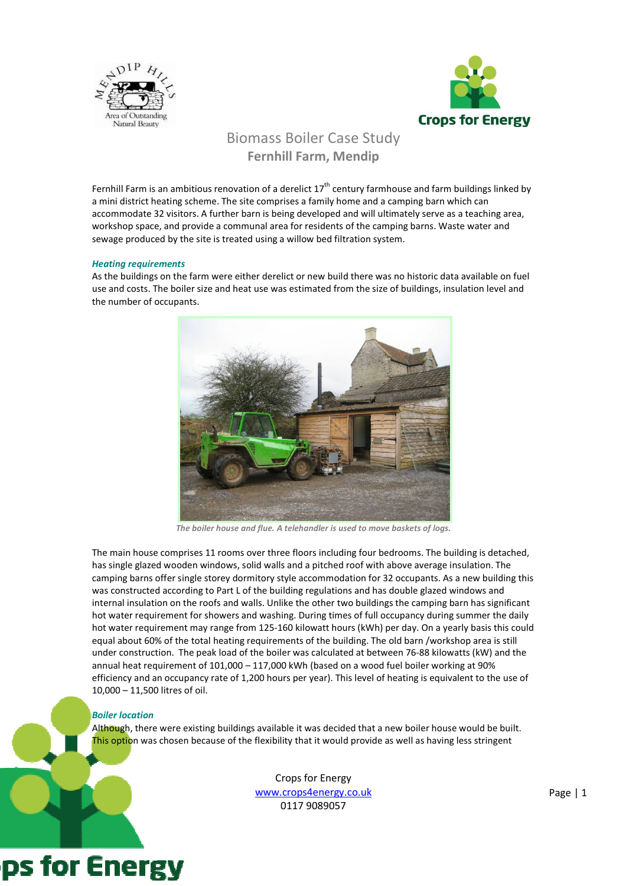



## Biomass Boiler Case Study Fernhill Farm, Mendip

Fernhill Farm is an ambitious renovation of a derelict  $17^{th}$  century farmhouse and farm buildings linked by a mini district heating scheme. The site comprises a family home and a camping barn which can accommodate 32 visitors. A further barn is being developed and will ultimately serve as a teaching area, workshop space, and provide a communal area for residents of the camping barns. Waste water and sewage produced by the site is treated using a willow bed filtration system.

## Heating requirements

As the buildings on the farm were either derelict or new build there was no historic data available on fuel use and costs. The boiler size and heat use was estimated from the size of buildings, insulation level and the number of occupants.



The boiler house and flue. A telehandler is used to move baskets of logs.

The main house comprises 11 rooms over three floors including four bedrooms. The building is detached, has single glazed wooden windows, solid walls and a pitched roof with above average insulation. The camping barns offer single storey dormitory style accommodation for 32 occupants. As a new building this was constructed according to Part L of the building regulations and has double glazed windows and internal insulation on the roofs and walls. Unlike the other two buildings the camping barn has significant hot water requirement for showers and washing. During times of full occupancy during summer the daily hot water requirement may range from 125-160 kilowatt hours (kWh) per day. On a yearly basis this could equal about 60% of the total heating requirements of the building. The old barn /workshop area is still under construction. The peak load of the boiler was calculated at between 76-88 kilowatts (kW) and the annual heat requirement of 101,000 – 117,000 kWh (based on a wood fuel boiler working at 90% efficiency and an occupancy rate of 1,200 hours per year). This level of heating is equivalent to the use of 10,000 – 11,500 litres of oil.

## Boiler location

Although, there were existing buildings available it was decided that a new boiler house would be built. This option was chosen because of the flexibility that it would provide as well as having less stringent

> Crops for Energy www.crops4energy.co.uk 0117 9089057

# ps for Energy

Page | 1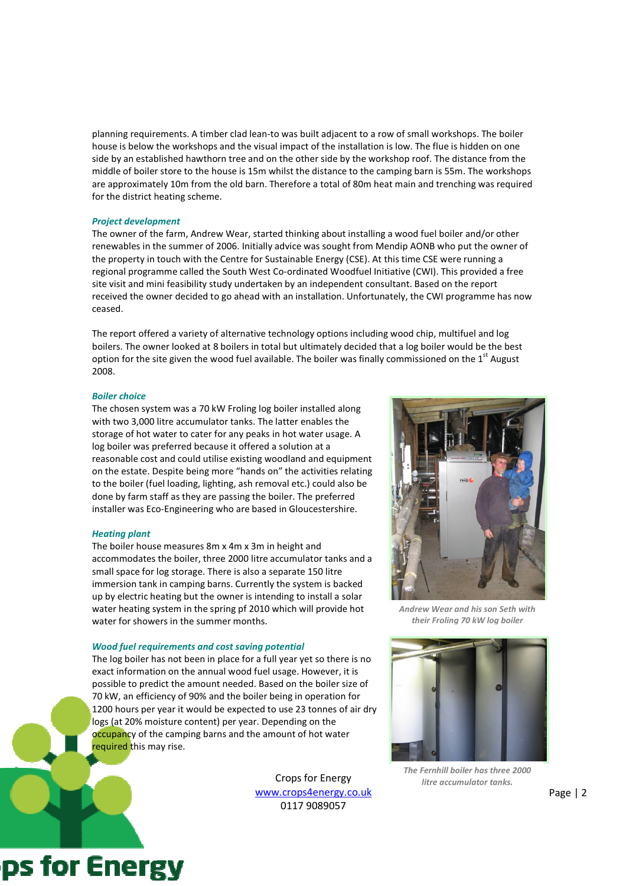planning requirements. A timber clad lean-to was built adjacent to a row of small workshops. The boiler house is below the workshops and the visual impact of the installation is low. The flue is hidden on one side by an established hawthorn tree and on the other side by the workshop roof. The distance from the middle of boiler store to the house is 15m whilst the distance to the camping barn is 55m. The workshops are approximately 10m from the old barn. Therefore a total of 80m heat main and trenching was required for the district heating scheme.

### Project development

The owner of the farm, Andrew Wear, started thinking about installing a wood fuel boiler and/or other renewables in the summer of 2006. Initially advice was sought from Mendip AONB who put the owner of the property in touch with the Centre for Sustainable Energy (CSE). At this time CSE were running a regional programme called the South West Co-ordinated Woodfuel Initiative (CWI). This provided a free site visit and mini feasibility study undertaken by an independent consultant. Based on the report received the owner decided to go ahead with an installation. Unfortunately, the CWI programme has now ceased.

The report offered a variety of alternative technology options including wood chip, multifuel and log boilers. The owner looked at 8 boilers in total but ultimately decided that a log boiler would be the best option for the site given the wood fuel available. The boiler was finally commissioned on the  $1<sup>st</sup>$  August 2008.

## Boiler choice

The chosen system was a 70 kW Froling log boiler installed along with two 3,000 litre accumulator tanks. The latter enables the storage of hot water to cater for any peaks in hot water usage. A log boiler was preferred because it offered a solution at a reasonable cost and could utilise existing woodland and equipment on the estate. Despite being more "hands on" the activities relating to the boiler (fuel loading, lighting, ash removal etc.) could also be done by farm staff as they are passing the boiler. The preferred installer was Eco-Engineering who are based in Gloucestershire.

## Heating plant

The boiler house measures 8m x 4m x 3m in height and accommodates the boiler, three 2000 litre accumulator tanks and a small space for log storage. There is also a separate 150 litre immersion tank in camping barns. Currently the system is backed up by electric heating but the owner is intending to install a solar water heating system in the spring pf 2010 which will provide hot water for showers in the summer months.

### Wood fuel requirements and cost saving potential

The log boiler has not been in place for a full year yet so there is no exact information on the annual wood fuel usage. However, it is possible to predict the amount needed. Based on the boiler size of 70 kW, an efficiency of 90% and the boiler being in operation for 1200 hours per year it would be expected to use 23 tonnes of air dry logs (at 20% moisture content) per year. Depending on the occupancy of the camping barns and the amount of hot water required this may rise.

> Crops for Energy www.crops4energy.co.uk 0117 9089057



Andrew Wear and his son Seth with their Froling 70 kW log boiler



The Fernhill boiler has three 2000 litre accumulator tanks.

Page | 2

## ps for Energy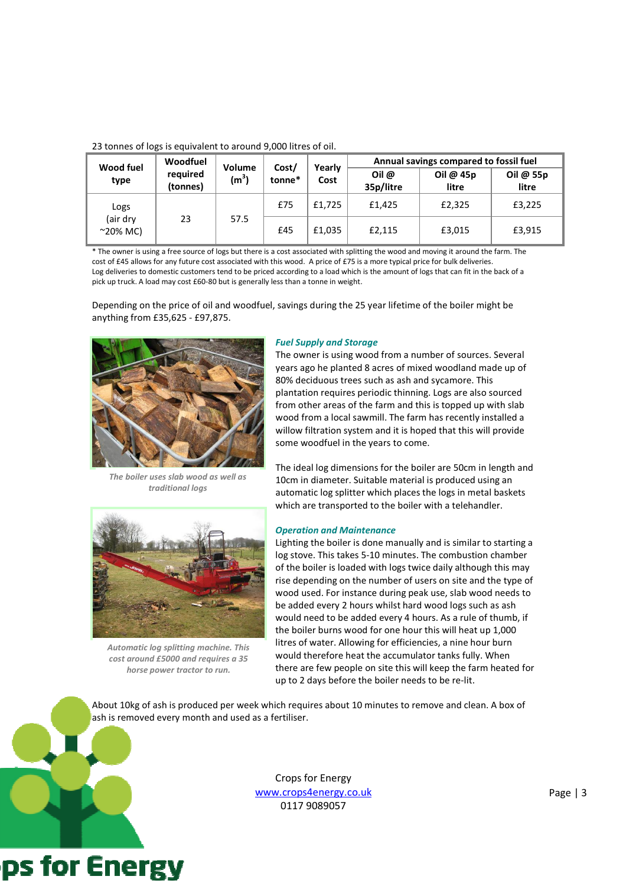| Wood fuel<br>type                     | Woodfuel<br>required<br>(tonnes) | Volume<br>(m <sup>3</sup> ) | Cost/<br>tonne* | Yearly<br>Cost | Annual savings compared to fossil fuel |                    |                    |
|---------------------------------------|----------------------------------|-----------------------------|-----------------|----------------|----------------------------------------|--------------------|--------------------|
|                                       |                                  |                             |                 |                | Oil $\omega$<br>35p/litre              | Oil @ 45p<br>litre | Oil @ 55p<br>litre |
| Logs<br>(air drv<br>$^{\sim}20\%$ MC) | 23                               | 57.5                        | £75             | £1,725         | £1,425                                 | £2,325             | £3,225             |
|                                       |                                  |                             | £45             | £1.035         | £2,115                                 | £3,015             | £3,915             |

23 tonnes of logs is equivalent to around 9,000 litres of oil.

\* The owner is using a free source of logs but there is a cost associated with splitting the wood and moving it around the farm. The cost of £45 allows for any future cost associated with this wood. A price of £75 is a more typical price for bulk deliveries. Log deliveries to domestic customers tend to be priced according to a load which is the amount of logs that can fit in the back of a pick up truck. A load may cost £60-80 but is generally less than a tonne in weight.

Depending on the price of oil and woodfuel, savings during the 25 year lifetime of the boiler might be anything from £35,625 - £97,875.



The boiler uses slab wood as well as traditional logs

Automatic log splitting machine. This cost around £5000 and requires a 35 horse power tractor to run.

## Fuel Supply and Storage

The owner is using wood from a number of sources. Several years ago he planted 8 acres of mixed woodland made up of 80% deciduous trees such as ash and sycamore. This plantation requires periodic thinning. Logs are also sourced from other areas of the farm and this is topped up with slab wood from a local sawmill. The farm has recently installed a willow filtration system and it is hoped that this will provide some woodfuel in the years to come.

The ideal log dimensions for the boiler are 50cm in length and 10cm in diameter. Suitable material is produced using an automatic log splitter which places the logs in metal baskets which are transported to the boiler with a telehandler.

## Operation and Maintenance

Lighting the boiler is done manually and is similar to starting a log stove. This takes 5-10 minutes. The combustion chamber of the boiler is loaded with logs twice daily although this may rise depending on the number of users on site and the type of wood used. For instance during peak use, slab wood needs to be added every 2 hours whilst hard wood logs such as ash would need to be added every 4 hours. As a rule of thumb, if the boiler burns wood for one hour this will heat up 1,000 litres of water. Allowing for efficiencies, a nine hour burn would therefore heat the accumulator tanks fully. When there are few people on site this will keep the farm heated for up to 2 days before the boiler needs to be re-lit.

About 10kg of ash is produced per week which requires about 10 minutes to remove and clean. A box of ash is removed every month and used as a fertiliser.



Crops for Energy www.crops4energy.co.uk 0117 9089057